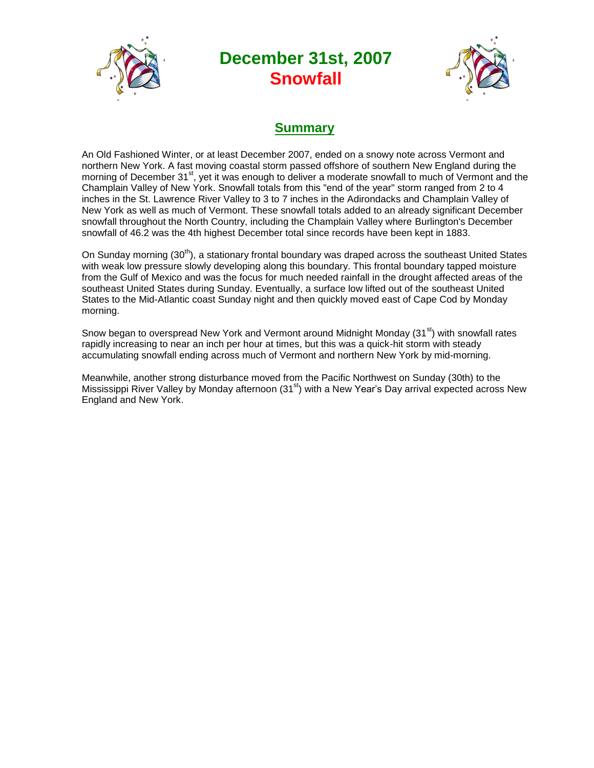

# **December 31st, 2007 Snowfall**



# **Summary**

An Old Fashioned Winter, or at least December 2007, ended on a snowy note across Vermont and northern New York. A fast moving coastal storm passed offshore of southern New England during the morning of December 31<sup>st</sup>, yet it was enough to deliver a moderate snowfall to much of Vermont and the Champlain Valley of New York. Snowfall totals from this "end of the year" storm ranged from 2 to 4 inches in the St. Lawrence River Valley to 3 to 7 inches in the Adirondacks and Champlain Valley of New York as well as much of Vermont. These snowfall totals added to an already significant December snowfall throughout the North Country, including the Champlain Valley where Burlington's December snowfall of 46.2 was the 4th highest December total since records have been kept in 1883.

On Sunday morning  $(30<sup>th</sup>)$ , a stationary frontal boundary was draped across the southeast United States with weak low pressure slowly developing along this boundary. This frontal boundary tapped moisture from the Gulf of Mexico and was the focus for much needed rainfall in the drought affected areas of the southeast United States during Sunday. Eventually, a surface low lifted out of the southeast United States to the Mid-Atlantic coast Sunday night and then quickly moved east of Cape Cod by Monday morning.

Snow began to overspread New York and Vermont around Midnight Monday  $(31<sup>st</sup>)$  with snowfall rates rapidly increasing to near an inch per hour at times, but this was a quick-hit storm with steady accumulating snowfall ending across much of Vermont and northern New York by mid-morning.

Meanwhile, another strong disturbance moved from the Pacific Northwest on Sunday (30th) to the Mississippi River Valley by Monday afternoon (31<sup>st</sup>) with a New Year's Day arrival expected across New England and New York.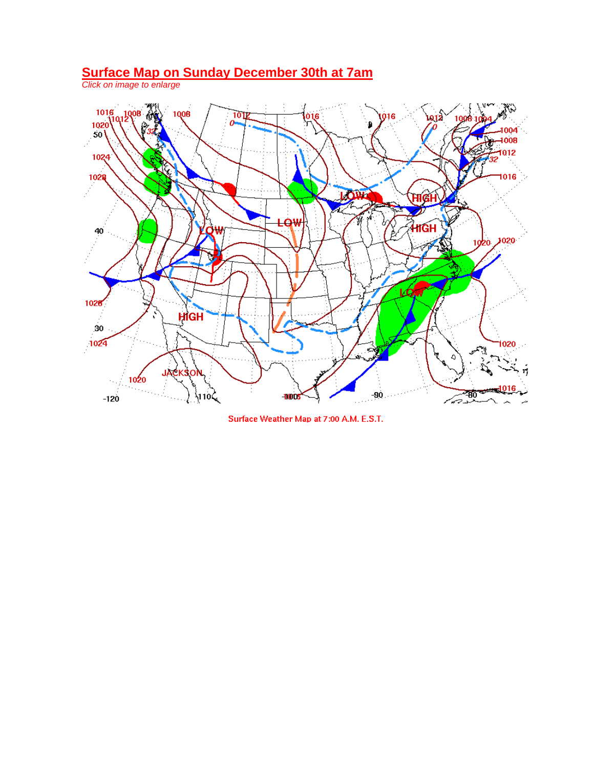#### **Surface Map on Sunday December 30th at 7am**

*Click on image to enlarge*



Surface Weather Map at 7:00 A.M. E.S.T.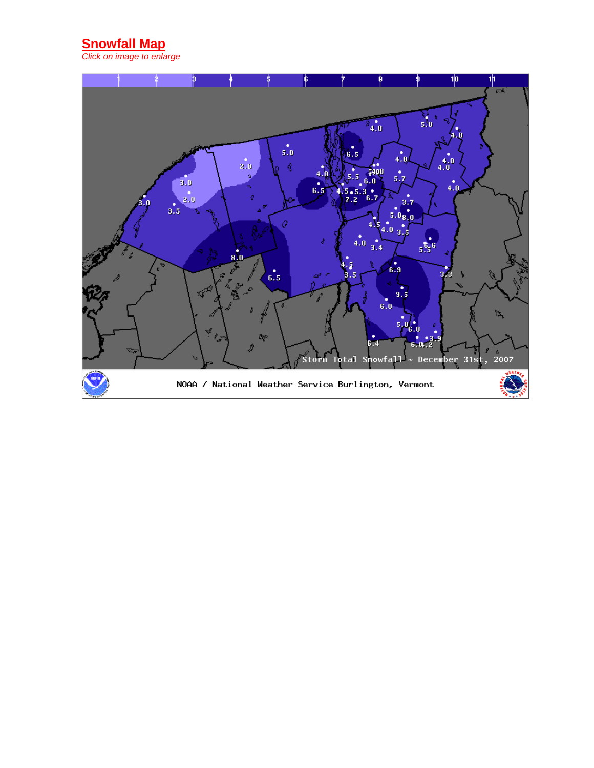## **Snowfall Map**

*Click on image to enlarge*

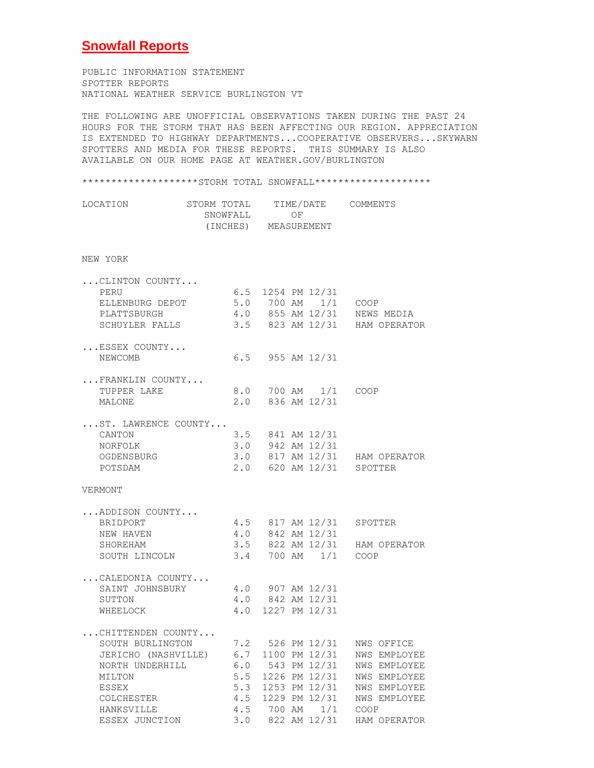#### **Snowfall Reports**

PUBLIC INFORMATION STATEMENT SPOTTER REPORTS NATIONAL WEATHER SERVICE BURLINGTON VT

THE FOLLOWING ARE UNOFFICIAL OBSERVATIONS TAKEN DURING THE PAST 24 HOURS FOR THE STORM THAT HAS BEEN AFFECTING OUR REGION. APPRECIATION IS EXTENDED TO HIGHWAY DEPARTMENTS...COOPERATIVE OBSERVERS...SKYWARN SPOTTERS AND MEDIA FOR THESE REPORTS. THIS SUMMARY IS ALSO AVAILABLE ON OUR HOME PAGE AT WEATHER.GOV/BURLINGTON

\*\*\*\*\*\*\*\*\*\*\*\*\*\*\*\*\*\*\*STORM TOTAL SNOWFALL\*\*\*\*\*\*\*\*\*\*\*\*\*\*\*\*\*\*\*\*\* LOCATION STORM TOTAL TIME/DATE COMMENTS SNOWFALL OF (INCHES) MEASUREMENT NEW YORK ...CLINTON COUNTY... PERU 6.5 1254 PM 12/31 ELLENBURG DEPOT 5.0 700 AM 1/1 COOP PLATTSBURGH 4.0 855 AM 12/31 NEWS MEDIA SCHUYLER FALLS 3.5 823 AM 12/31 HAM OPERATOR ...ESSEX COUNTY... NEWCOMB 6.5 955 AM 12/31 ...FRANKLIN COUNTY... 8.0 700 AM 1/1 COOP MALONE 2.0 836 AM 12/31 ...ST. LAWRENCE COUNTY... CANTON 3.5 841 AM 12/31 NORFOLK 3.0 942 AM 12/31 OGDENSBURG 3.0 817 AM 12/31 HAM OPERATOR POTSDAM 2.0 620 AM 12/31 SPOTTER VERMONT ...ADDISON COUNTY... 4.5 817 AM 12/31 SPOTTER NEW HAVEN 4.0 842 AM 12/31 SHOREHAM 3.5 822 AM 12/31 HAM OPERATOR SOUTH LINCOLN 3.4 700 AM 1/1 COOP ...CALEDONIA COUNTY... SAINT JOHNSBURY 4.0 907 AM 12/31 SUTTON 4.0 842 AM 12/31 WHEELOCK 4.0 1227 PM 12/31 ...CHITTENDEN COUNTY... SOUTH BURLINGTON 7.2 526 PM 12/31 NWS OFFICE JERICHO (NASHVILLE) 6.7 1100 PM 12/31 NWS EMPLOYEE NORTH UNDERHILL 6.0 543 PM 12/31 NWS EMPLOYEE MILTON 5.5 1226 PM 12/31 NWS EMPLOYEE ESSEX 5.3 1253 PM 12/31 NWS EMPLOYEE COLCHESTER 4.5 1229 PM 12/31 NWS EMPLOYEE

HANKSVILLE 4.5 700 AM 1/1 COOP

ESSEX JUNCTION 3.0 822 AM 12/31 HAM OPERATOR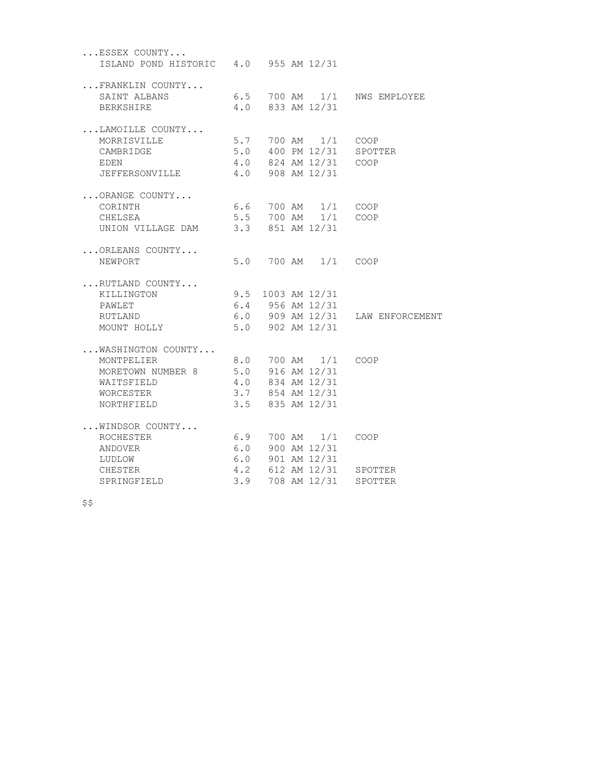| ESSEX COUNTY<br>ISLAND POND HISTORIC 4.0 955 AM 12/31                                                                                            |  |                                             |                                                                          |
|--------------------------------------------------------------------------------------------------------------------------------------------------|--|---------------------------------------------|--------------------------------------------------------------------------|
| FRANKLIN COUNTY<br>SAINT ALBANS<br>BERKSHIRE                                                                                                     |  | $4.0$ 833 AM 12/31                          | 6.5 700 AM 1/1 NWS EMPLOYEE                                              |
|                                                                                                                                                  |  |                                             |                                                                          |
| LAMOILLE COUNTY<br>MORRISVILLE<br>CAMBRIDGE<br>EDEN<br>JEFFERSONVILLE                                                                            |  | 4.0 824 AM 12/31 COOP<br>4.0 908 AM 12/31   | 5.7 700 AM 1/1 COOP<br>5.0 400 PM 12/31 SPOTTER                          |
| ORANGE COUNTY<br>CORINTH 6.6 700 AM 1/1 COOP<br>CHELSEA 5.5 700 AM 1/1 COOP<br>UNION VILLAGE DAM 3.3 851 AM 12/31                                |  |                                             |                                                                          |
| ORLEANS COUNTY<br>NEWPORT                                                                                                                        |  | 5.0 700 AM 1/1 COOP                         |                                                                          |
| RUTLAND COUNTY<br>KILLINGTON<br>PAWLET<br>RUTLAND<br>MOUNT HOLLY                                                                                 |  | 9.5 1003 AM 12/31<br>$5.0$ 902 AM 12/31     | 6.4 956 AM 12/31<br>6.0 909 AM 12/31 LAW ENFORCEMENT                     |
| WASHINGTON COUNTY<br>MONTPELIER<br>MORETOWN NUMBER 8 5.0 916 AM 12/31<br>WAITSFIELD 4.0 834 AM 12/31<br>WORCESTER 3.7 854 AM 12/31<br>NORTHFIELD |  | 8.0 700 AM 1/1 COOP<br>$3.5$ 835 AM 12/31   |                                                                          |
| WINDSOR COUNTY<br>ROCHESTER<br>ANDOVER<br>LUDLOW<br>CHESTER                                                                                      |  | 6.9 700 AM 1/1 COOP<br>$6.0$ 900 AM $12/31$ | 6.0 901 AM 12/31<br>4.2 612 AM 12/31 SPOTTER<br>3.9 708 AM 12/31 SPOTTER |
| SPRINGFIELD                                                                                                                                      |  |                                             |                                                                          |

 $$S$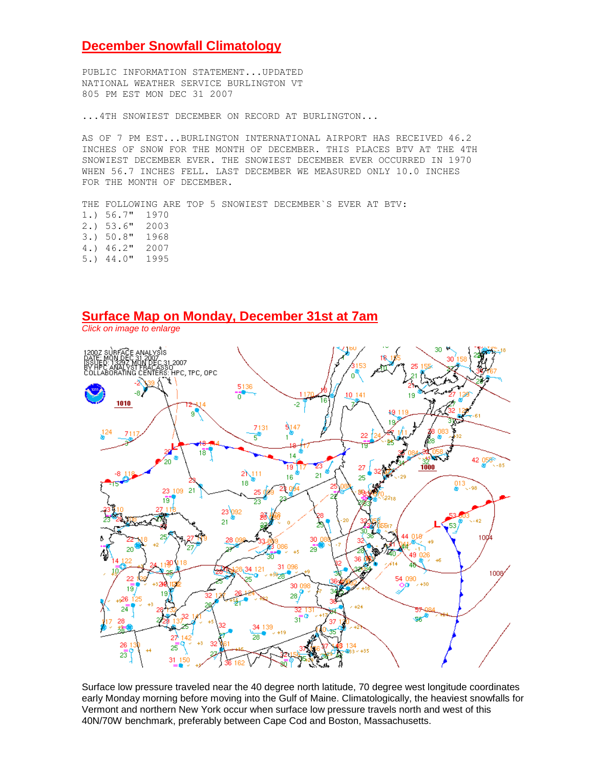#### **December Snowfall Climatology**

PUBLIC INFORMATION STATEMENT...UPDATED NATIONAL WEATHER SERVICE BURLINGTON VT 805 PM EST MON DEC 31 2007

...4TH SNOWIEST DECEMBER ON RECORD AT BURLINGTON...

AS OF 7 PM EST...BURLINGTON INTERNATIONAL AIRPORT HAS RECEIVED 46.2 INCHES OF SNOW FOR THE MONTH OF DECEMBER. THIS PLACES BTV AT THE 4TH SNOWIEST DECEMBER EVER. THE SNOWIEST DECEMBER EVER OCCURRED IN 1970 WHEN 56.7 INCHES FELL. LAST DECEMBER WE MEASURED ONLY 10.0 INCHES FOR THE MONTH OF DECEMBER.

THE FOLLOWING ARE TOP 5 SNOWIEST DECEMBER`S EVER AT BTV: 1.) 56.7" 1970 2.) 53.6" 2003 3.) 50.8" 1968 4.) 46.2" 2007 5.) 44.0" 1995

### **Surface Map on Monday, December 31st at 7am**

*Click on image to enlarge*



Surface low pressure traveled near the 40 degree north latitude, 70 degree west longitude coordinates early Monday morning before moving into the Gulf of Maine. Climatologically, the heaviest snowfalls for Vermont and northern New York occur when surface low pressure travels north and west of this 40N/70W benchmark, preferably between Cape Cod and Boston, Massachusetts.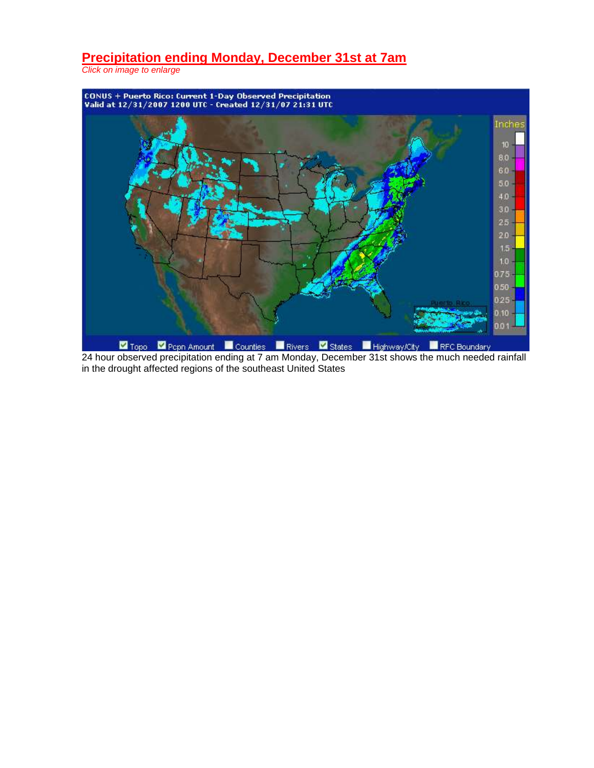# **Precipitation ending Monday, December 31st at 7am**

*Click on image to enlarge*



**24 Topo 2** Pepn Amount **24 hour observed precipitation ending at 7 am Monday, December 31st shows the much needed rainfall 24 hour observed precipitation ending at 7 am Monday, December 31st shows the much needed rainfa** in the drought affected regions of the southeast United States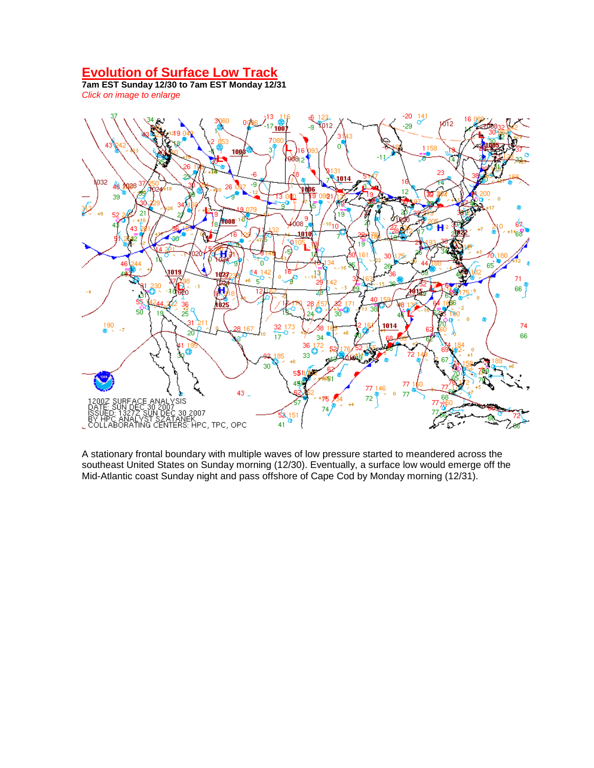## **Evolution of Surface Low Track**

**7am EST Sunday 12/30 to 7am EST Monday 12/31** *Click on image to enlarge*



A stationary frontal boundary with multiple waves of low pressure started to meandered across the southeast United States on Sunday morning (12/30). Eventually, a surface low would emerge off the Mid-Atlantic coast Sunday night and pass offshore of Cape Cod by Monday morning (12/31).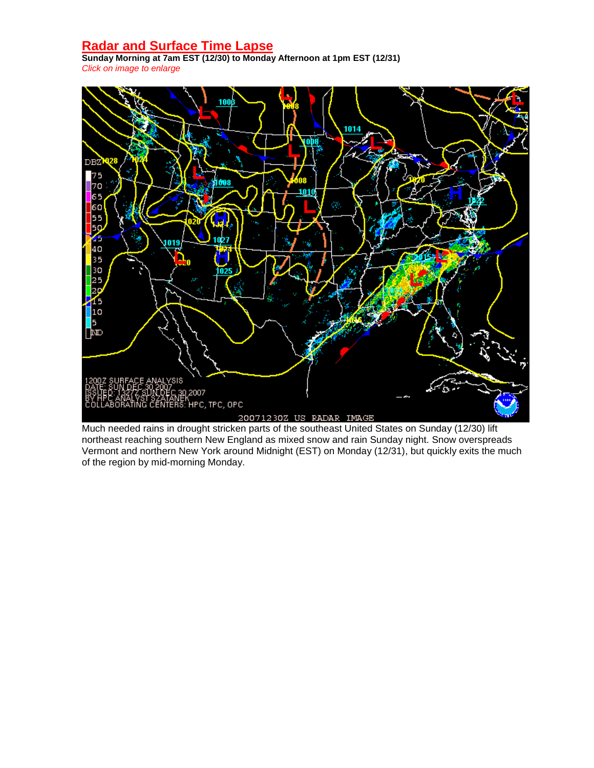# **Radar and Surface Time Lapse**

**Sunday Morning at 7am EST (12/30) to Monday Afternoon at 1pm EST (12/31)** *Click on image to enlarge*



Much needed rains in drought stricken parts of the southeast United States on Sunday (12/30) lift northeast reaching southern New England as mixed snow and rain Sunday night. Snow overspreads Vermont and northern New York around Midnight (EST) on Monday (12/31), but quickly exits the much of the region by mid-morning Monday.